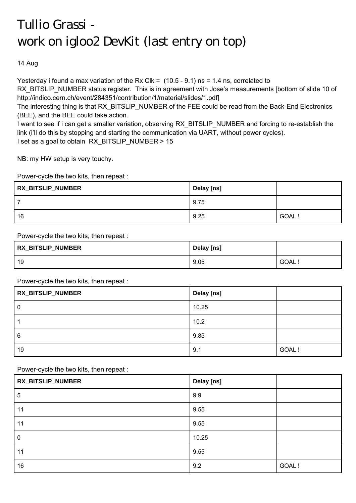## Tullio Grassi work on igloo2 DevKit (last entry on top)

14 Aug

Yesterday i found a max variation of the Rx Clk =  $(10.5 - 9.1)$  ns = 1.4 ns, correlated to

RX\_BITSLIP\_NUMBER status register. This is in agreement with Jose's measurements [bottom of slide 10 of http://indico.cern.ch/event/284351/contribution/1/material/slides/1.pdf]

The interesting thing is that RX\_BITSLIP\_NUMBER of the FEE could be read from the Back-End Electronics (BEE), and the BEE could take action.

I want to see if i can get a smaller variation, observing RX\_BITSLIP\_NUMBER and forcing to re-establish the link (i'll do this by stopping and starting the communication via UART, without power cycles). I set as a goal to obtain RX\_BITSLIP\_NUMBER > 15

NB: my HW setup is very touchy.

Power-cycle the two kits, then repeat :

| <b>RX_BITSLIP_NUMBER</b> | Delay [ns] |        |
|--------------------------|------------|--------|
|                          | 9.75       |        |
| 16                       | 9.25       | GOAL ! |

Power-cycle the two kits, then repeat :

| <b>RX_BITSLIP_NUMBER</b> | Delay [ns] |             |
|--------------------------|------------|-------------|
| 19                       | 9.05       | <b>GOAL</b> |

Power-cycle the two kits, then repeat :

| RX_BITSLIP_NUMBER | Delay [ns] |        |
|-------------------|------------|--------|
| l 0               | 10.25      |        |
|                   | 10.2       |        |
| 6                 | 9.85       |        |
| 19                | 9.1        | GOAL ! |

Power-cycle the two kits, then repeat :

| RX_BITSLIP_NUMBER | Delay [ns] |        |
|-------------------|------------|--------|
| 5                 | 9.9        |        |
| 11                | 9.55       |        |
| 11                | 9.55       |        |
| $\pmb{0}$         | 10.25      |        |
| 11                | 9.55       |        |
| 16                | 9.2        | GOAL ! |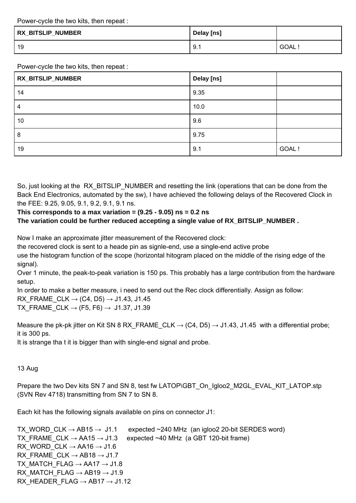Power-cycle the two kits, then repeat :

| <b>RX_BITSLIP_NUMBER</b> | Delay [ns] |             |
|--------------------------|------------|-------------|
| 19                       | 9.1        | <b>GOAL</b> |

Power-cycle the two kits, then repeat :

| RX_BITSLIP_NUMBER | Delay [ns] |        |
|-------------------|------------|--------|
| 14                | 9.35       |        |
| 4                 | 10.0       |        |
| 10                | 9.6        |        |
| 8                 | 9.75       |        |
| 19                | 9.1        | GOAL ! |

So, just looking at the RX BITSLIP NUMBER and resetting the link (operations that can be done from the Back End Electronics, automated by the sw), I have achieved the following delays of the Recovered Clock in the FEE: 9.25, 9.05, 9.1, 9.2, 9.1, 9.1 ns.

## **This corresponds to a max variation = (9.25 - 9.05) ns = 0.2 ns**

The variation could be further reduced accepting a single value of RX\_BITSLIP\_NUMBER .

Now I make an approximate jitter measurement of the Recovered clock:

the recovered clock is sent to a heade pin as signle-end, use a single-end active probe

use the histogram function of the scope (horizontal hitogram placed on the middle of the rising edge of the signal).

Over 1 minute, the peak-to-peak variation is 150 ps. This probably has a large contribution from the hardware setup.

In order to make a better measure, i need to send out the Rec clock differentially. Assign as follow: RX FRAME CLK  $\rightarrow$  (C4, D5)  $\rightarrow$  J1.43, J1.45 TX FRAME CLK  $\rightarrow$  (F5, F6)  $\rightarrow$  J1.37, J1.39

Measure the pk-pk jitter on Kit SN 8 RX FRAME CLK  $\rightarrow$  (C4, D5)  $\rightarrow$  J1.43, J1.45 with a differential probe; it is 300 ps.

It is strange tha t it is bigger than with single-end signal and probe.

13 Aug

Prepare the two Dev kits SN 7 and SN 8, test fw LATOP\GBT\_On\_Igloo2\_M2GL\_EVAL\_KIT\_LATOP.stp (SVN Rev 4718) transmitting from SN 7 to SN 8.

Each kit has the following signals available on pins on connector J1:

TX\_WORD\_CLK  $\rightarrow$  AB15  $\rightarrow$  J1.1 expected ~240 MHz (an igloo2 20-bit SERDES word) TX FRAME CLK  $\rightarrow$  AA15  $\rightarrow$  J1.3 expected ~40 MHz (a GBT 120-bit frame) RX\_WORD\_CLK  $\rightarrow$  AA16  $\rightarrow$  J1.6 RX FRAME CLK  $\rightarrow$  AB18  $\rightarrow$  J1.7 TX\_MATCH\_FLAG  $\rightarrow$  AA17  $\rightarrow$  J1.8 RX\_MATCH\_FLAG  $\rightarrow$  AB19  $\rightarrow$  J1.9 RX HEADER FLAG  $\rightarrow$  AB17  $\rightarrow$  J1.12